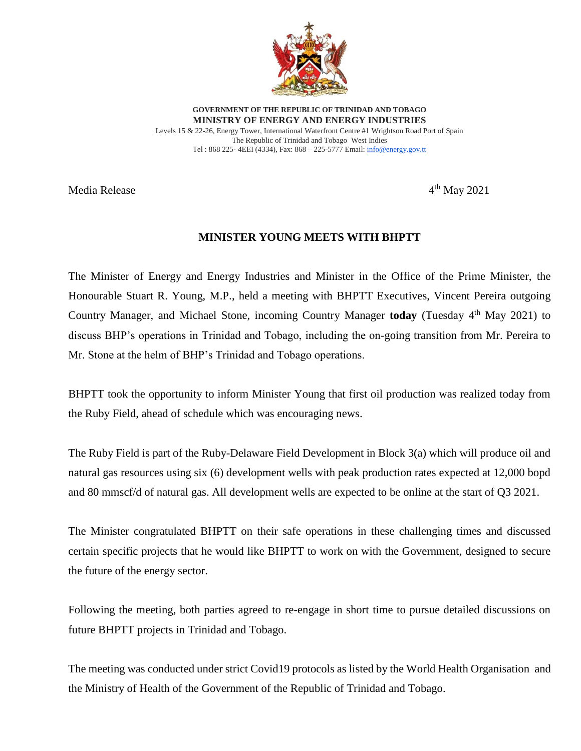

**GOVERNMENT OF THE REPUBLIC OF TRINIDAD AND TOBAGO MINISTRY OF ENERGY AND ENERGY INDUSTRIES** Levels 15 & 22-26, Energy Tower, International Waterfront Centre #1 Wrightson Road Port of Spain The Republic of Trinidad and Tobago West Indies Tel : 868 225- 4EEI (4334), Fax: 868 – 225-5777 Email: [info@energy.gov.tt](mailto:info@energy.gov.tt)

Media Release 4

 $4<sup>th</sup>$  May 2021

## **MINISTER YOUNG MEETS WITH BHPTT**

The Minister of Energy and Energy Industries and Minister in the Office of the Prime Minister, the Honourable Stuart R. Young, M.P., held a meeting with BHPTT Executives, Vincent Pereira outgoing Country Manager, and Michael Stone, incoming Country Manager **today** (Tuesday 4th May 2021) to discuss BHP's operations in Trinidad and Tobago, including the on-going transition from Mr. Pereira to Mr. Stone at the helm of BHP's Trinidad and Tobago operations.

BHPTT took the opportunity to inform Minister Young that first oil production was realized today from the Ruby Field, ahead of schedule which was encouraging news.

The Ruby Field is part of the Ruby-Delaware Field Development in Block 3(a) which will produce oil and natural gas resources using six (6) development wells with peak production rates expected at 12,000 bopd and 80 mmscf/d of natural gas. All development wells are expected to be online at the start of Q3 2021.

The Minister congratulated BHPTT on their safe operations in these challenging times and discussed certain specific projects that he would like BHPTT to work on with the Government, designed to secure the future of the energy sector.

Following the meeting, both parties agreed to re-engage in short time to pursue detailed discussions on future BHPTT projects in Trinidad and Tobago.

The meeting was conducted under strict Covid19 protocols as listed by the World Health Organisation and the Ministry of Health of the Government of the Republic of Trinidad and Tobago.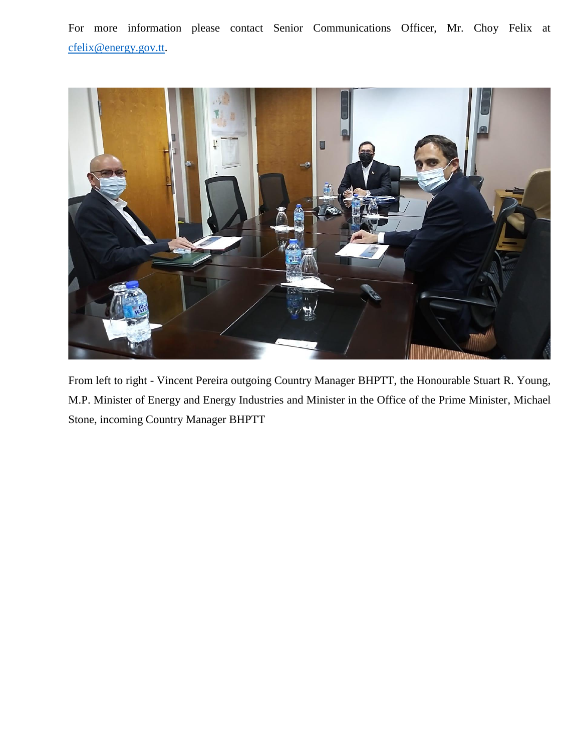For more information please contact Senior Communications Officer, Mr. Choy Felix at [cfelix@energy.gov.tt.](mailto:cfelix@energy.gov.tt)



From left to right - Vincent Pereira outgoing Country Manager BHPTT, the Honourable Stuart R. Young, M.P. Minister of Energy and Energy Industries and Minister in the Office of the Prime Minister, Michael Stone, incoming Country Manager BHPTT